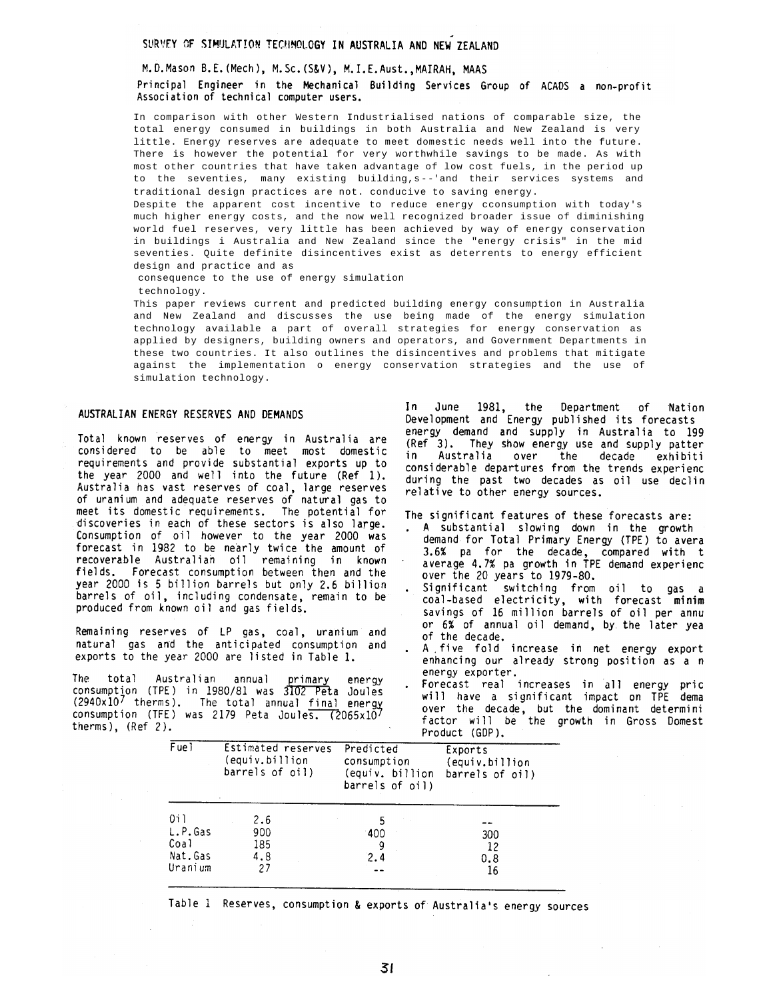### SURVEY OF SIMULATION TECHNOLOGY IN AUSTRALIA AND NEW ZEALAND

### M.D.Mason B.E. (Mech), M.Sc. (S&V), M.I.E.Aust., MAIRAH, MAAS

## Principal Engineer in the Mechanical Building Services Group of ACADS a non-profit Association of technical computer users.

In comparison with other Western Industrialised nations of comparable size, the total energy consumed in buildings in both Australia and New Zealand is very little. Energy reserves are adequate to meet domestic needs well into the future. There is however the potential for very worthwhile savings to be made. As with most other countries that have taken advantage of low cost fuels, in the period up to the seventies, many existing building, s--'and their services systems and traditional design practices are not. conducive to saving energy.

Despite the apparent cost incentive to reduce energy cconsumption with today's much higher energy costs, and the now well recognized broader issue of diminishing world fuel reserves, very little has been achieved by way of energy conservation in buildings i Australia and New Zealand since the "energy crisis" in the mid seventies. Quite definite disincentives exist as deterrents to energy efficient design and practice and as

consequence to the use of energy simulation

technology.

This paper reviews current and predicted building energy consumption in Australia and New Zealand and discusses the use being made of the energy simulation technology available a part of overall strategies for energy conservation as applied by designers, building owners and operators, and Government Departments in these two countries. It also outlines the disincentives and problems that mitigate against the implementation o energy conservation strategies and the use of simulation technology.

#### AUSTRALIAN ENERGY RESERVES AND DEMANDS

Total known reserves of energy in Australia are considered to be able to meet most domestic requirements and provide substantial exports up to the year 2000 and well into the future (Ref 1). Australia has vast reserves of coal, large reserves<br>of uranium and adequate reserves of natural gas to meet its domestic requirements. The potential for discoveries in each of these sectors is also large. Consumption of oil however to the year 2000 was forecast in 1982 to be nearly twice the amount of recoverable Australian oil remaining in known fields. Forecast consumption between then and the year 2000 is 5 billion barrels but only 2.6 billion barrels of oil, including condensate, remain to be produced from known oil and gas fields.

Remaining reserves of LP gas, coal, uranium and natural gas and the anticipated consumption and exports to the year 2000 are listed in Table 1.

**The** total Australian annual primary energy consumption (TPE) in 1980/81 was 3102 Peta Joules (2940x107 therms). The total annual final energy consumption (TFE) was 2179 Peta Joules. (2065x10) therms),  $(Ref 2)$ .

the Department of In June 1981, Nation Development and Energy published its forecasts energy demand and supply in Australia to 199 (Ref<sup>3</sup>). They show energy use and supply patter in Australia over the decade exhibiti considerable departures from the trends experience during the past two decades as oil use declin relative to other energy sources.

The significant features of these forecasts are:

- A substantial slowing down in the growth  $\bullet$ demand for Total Primary Energy (TPE) to avera 3.6% pa for the decade, compared with t<br>average 4.7% pa growth in TPE demand experienc over the 20 years to 1979-80.
- Significant switching from oil to gas a<br>coal-based electricity, with forecast minim savings of 16 million barrels of oil per annu or 6% of annual oil demand, by the later yea of the decade.
- A five fold increase in net energy export enhancing our already strong position as a n energy exporter.
- Forecast real increases in all energy pric will have a significant impact on TPE dema over the decade, but the dominant determini<br>factor will be the growth in Gross Domest Product (GDP).

| $\overline{\mathsf{F} \mathsf{u} \mathsf{e}}$ ) | Estimated reserves<br>(equiv.billion<br>barrels of oil) | Predicted<br>consumption<br>(equiv. billion<br>barrels of oil) | Exports<br>(equiv.billion<br>barrels of oil) |
|-------------------------------------------------|---------------------------------------------------------|----------------------------------------------------------------|----------------------------------------------|
| 0i 1                                            | 2.6                                                     |                                                                |                                              |
| L.P.Gas                                         | 900                                                     | 400                                                            | 300                                          |
| Coal<br>Nat.Gas                                 | 185<br>4.8                                              | 9<br>2.4                                                       | 12<br>0.8                                    |
| Jranium                                         | 27                                                      |                                                                | 16                                           |
|                                                 |                                                         |                                                                |                                              |

Table 1 Reserves, consumption & exports of Australia's energy sources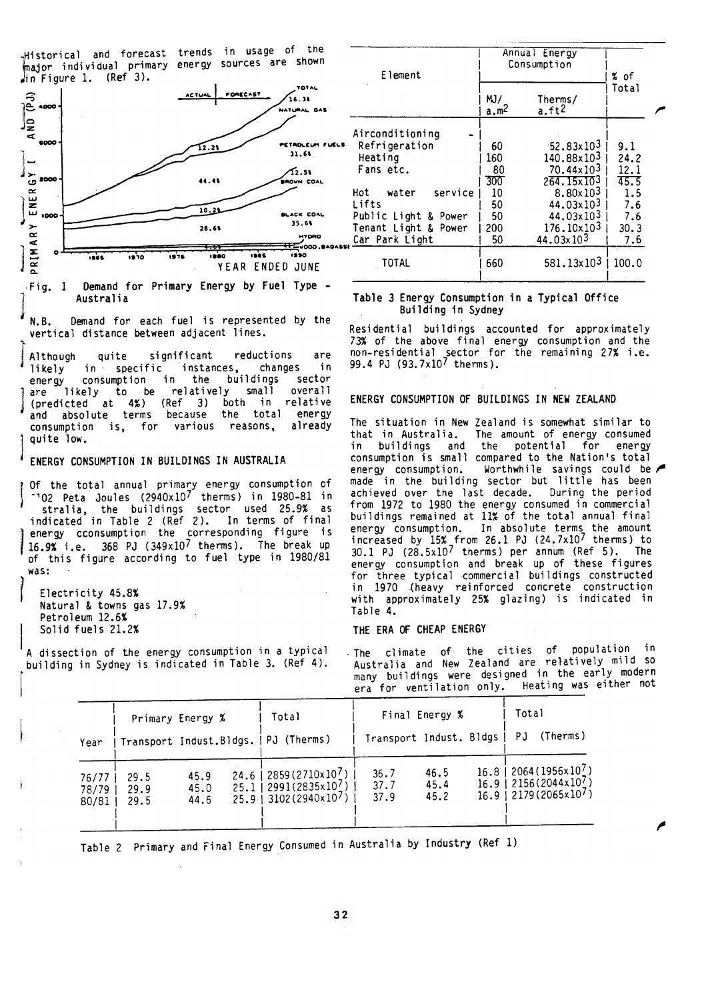Historical and forecast trends in usage of the<br>major individual primary energy sources are shown in Figure 1.  $(Ref 3)$ .



Fig. 1 Demand for Primary Energy by Fuel Type -Australia

Demand for each fuel is represented by the N.B. vertical distance between adjacent lines.

significant reductions are Although quite in specific instances, in likely changes consumption in the buildings sector energy relatively small overall likely to be are (predicted at 4%) (Ref 3) both in relative absolute terms because the total energy and consumption is, for various reasons. already quite low.

# ENERGY CONSUMPTION IN BUILDINGS IN AUSTRALIA

Of the total annual primary energy consumption of 102 Peta Joules (2940x107 therms) in 1980-81 in stralia, the buildings sector used 25.9% as<br>indicated in Table 2 (Ref 2). In terms of final stralia, energy cconsumption the corresponding figure is 16.9% i.e. 368 PJ (349x107 therms). The break up of this figure according to fuel type in 1980/81 was:

Electricity 45.8% Natural & towns gas 17.9% Petroleum 12.6% Solid fuels 21.2%

A dissection of the energy consumption in a typical building in Sydney is indicated in Table 3. (Ref 4).

| Element                                                                                                                                                          | Annual Energy<br>Consumption                            | % of                                                                                                                                                                           |                                                                 |  |
|------------------------------------------------------------------------------------------------------------------------------------------------------------------|---------------------------------------------------------|--------------------------------------------------------------------------------------------------------------------------------------------------------------------------------|-----------------------------------------------------------------|--|
|                                                                                                                                                                  | MJ/<br>Therms/<br>a.ft <sup>2</sup><br>a.m <sup>∠</sup> |                                                                                                                                                                                | Total                                                           |  |
| Airconditioning<br>Refrigeration<br>Heating<br>Fans etc.<br>service<br>water<br>Hot I<br>Lifts<br>Public Light & Power<br>Tenant Light & Power<br>Car Park Light | 60<br>160<br>80<br>300<br>10<br>50<br>50<br>200<br>50   | $-52.83 \times 10^3$<br>140.88x10 <sup>3</sup><br>70.44x10 <sup>3</sup><br>264.15x10 <sup>3</sup><br>8.80×103<br>44.03×103<br>44.03x103<br>176.10×103<br>44.03x10 <sup>3</sup> | 9.1<br>24.2<br>12.1<br>45.5<br>1.5<br>7.6<br>7.6<br>30.3<br>7.6 |  |
| TOTAL                                                                                                                                                            | 660                                                     | 581.13x103                                                                                                                                                                     | 100.0                                                           |  |

### Table 3 Energy Consumption in a Typical Office Building in Sydney

Residential buildings accounted for approximately 73% of the above final energy consumption and the non-residential sector for the remaining 27% i.e.<br>99.4 PJ (93.7x10<sup>7</sup> therms).

### ENERGY CONSUMPTION OF BUILDINGS IN NEW ZEALAND

The situation in New Zealand is somewhat similar to The amount of energy consumed that in Australia. and the potential for buildings energy consumption is small compared to the Nation's total energy consumption. Worthwhile savings could be made in the building sector but little has been achieved over the last decade. During the period from 1972 to 1980 the energy consumed in commercial buildings remained at 11% of the total annual final energy consumption. In absolute terms the amount<br>increased by 15% from 26.1 PJ (24.7x10<sup>7</sup> therms) to<br>30.1 PJ (28.5x10<sup>7</sup> therms) per annum (Ref 5). The energy consumption and break up of these figures for three typical commercial buildings constructed in 1970 (heavy reinforced concrete construction with approximately 25% glazing) is indicated in Table 4.

### THE ERA OF CHEAP ENERGY

climate of the cities of population in  $\cdot$  The  $\cdot$ Australia and New Zealand are relatively mild so many buildings were designed in the early modern era for ventilation only. Heating was either not

| Year                    | Primary Energy %     |                      | Total<br>Transport Indust.Bldgs.   PJ (Therms)                                                                      | Transport Indust. Bldgs | Final Energy %       | Total<br>PJ | (Therms)                                                                                                               |
|-------------------------|----------------------|----------------------|---------------------------------------------------------------------------------------------------------------------|-------------------------|----------------------|-------------|------------------------------------------------------------------------------------------------------------------------|
| 76/77<br>78/79<br>80/81 | 29.5<br>29.9<br>29.5 | 45.9<br>45.0<br>44.6 | 24.6   2859(2710x10 <sup>7</sup> )<br>$25.1$   2991(2835x10 <sup>7</sup> )<br>$25.9$   3102 (2940x10 <sup>7</sup> ) | 36.7<br>37.7<br>37.9    | 46.5<br>45.4<br>45.2 |             | $16.8$   2064 (1956x10 <sup>7</sup> )<br>$16.9$   2156(2044x10 <sup>7</sup> )<br>$16.9$   2179 (2065x10 <sup>7</sup> ) |

Table 2 Primary and Final Energy Consumed in Australia by Industry (Ref 1)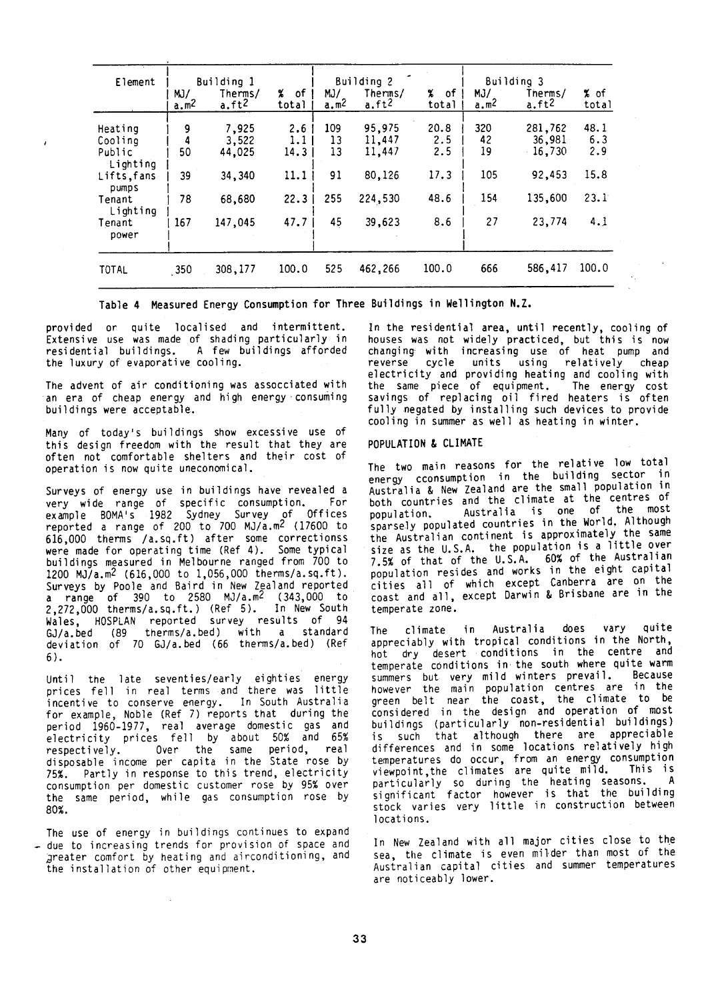| Element                                  | Building 1              |                              |                                 | Building 2                             |                            |                                     | Building 3              |                              |                    |  |
|------------------------------------------|-------------------------|------------------------------|---------------------------------|----------------------------------------|----------------------------|-------------------------------------|-------------------------|------------------------------|--------------------|--|
|                                          | MJ/<br>a.m <sup>2</sup> | Therms/<br>a.ft <sup>2</sup> | X.<br>.of<br>total              | MJ/<br>$\underline{a}$ .m <sup>2</sup> | Therms/<br>$a.ft^2$        | $\boldsymbol{\chi}$<br>of.<br>total | MJ/<br>a.m <sup>2</sup> | Therms/<br>a.ft <sup>2</sup> | % of<br>total      |  |
| Heating<br>Cooling<br>Public<br>Lighting | 9<br>4<br>50            | 7,925<br>3,522<br>44,025     | 2.6<br>1.1 <sub>1</sub><br>14.3 | 109<br>13<br>13                        | 95,975<br>11,447<br>11,447 | 20.8<br>2.5<br>2.5                  | 320<br>42<br>19         | 281,762<br>36,981<br>16,730  | 48.1<br>6.3<br>2.9 |  |
| Lifts, fans<br>pumps                     | 39                      | 34,340                       | 11.1                            | 91                                     | 80,126                     | 17.3                                | 105                     | 92,453                       | 15.8               |  |
| Tenant<br>Lighting                       | 78                      | 68,680                       | 22.3                            | 255                                    | 224,530                    | 48.6                                | 154                     | 135,600                      | 23.1               |  |
| Tenant<br>power                          | 167                     | 147,045                      | 47.7                            | 45                                     | 39,623                     | 8.6                                 | 27                      | 23,774                       | 4.1                |  |
| TOTAL                                    | 350                     | 308,177                      | 100.0                           | 525                                    | 462,266                    | 100.0                               | 666                     | 586,417                      | 100.0              |  |

Table 4 Measured Energy Consumption for Three Buildings in Wellington N.Z.

provided or quite localised and intermittent. Extensive use was made of shading particularly in residential buildings. A few buildings afforded the luxury of evaporative cooling.

The advent of air conditioning was assocciated with an era of cheap energy and high energy consuming buildings were acceptable.

Many of today's buildings show excessive use of<br>this design freedom with the result that they are often not comfortable shelters and their cost of operation is now quite uneconomical.

Surveys of energy use in buildings have revealed a very wide range of specific consumption. For<br>example BOMA's 1982 Sydney Survey of Offices<br>reported a range of 200 to 700 MJ/a.m<sup>2</sup> (17600 to 616,000 therms /a.sq.ft) after some correctionss were made for operating time (Ref 4). Some typical buildings measured in Melbourne ranged from 700 to 1200 MJ/a.m<sup>2</sup> (616,000 to 1,056,000 therms/a.sq.ft). Surveys by Poole and Baird in New Zealand reported a range of 390 to 2580 MJ/a.m<sup>2</sup> (343,000 to<br>2,272,000 therms/a.sq.ft.) (Ref 5). In New South<br>Wales, HOSPLAN reported survey results of 94<br>GJ/a.bed (89 therms/a.bed) with a standard deviation of 70 GJ/a.bed (66 therms/a.bed) (Ref  $6$ ).

Until the late seventies/early eighties energy prices fell in real terms and there was little incentive to conserve energy. In South Australia for example, Noble (Ref 7) reports that during the period 1960-1977, real average domestic gas and<br>electricity prices fell by about 50% and 65% Over the same period, real respectively. disposable income per capita in the State rose by 75%. Partly in response to this trend, electricity consumption per domestic customer rose by 95% over the same period, while gas consumption rose by 80%.

The use of energy in buildings continues to expand due to increasing trends for provision of space and greater comfort by heating and airconditioning, and the installation of other equipment.

In the residential area, until recently, cooling of houses was not widely practiced, but this is now<br>changing with increasing use of heat pump and reverse cycle units using relatively cheap electricity and providing heating and cooling with the same piece of equipment. The energy cost savings of replacing oil fired heaters is often fully negated by installing such devices to provide cooling in summer as well as heating in winter.

#### POPULATION & CLIMATE

The two main reasons for the relative low total energy cconsumption in the building sector in Australia & New Zealand are the small population in both countries and the climate at the centres of Australia is one of the most population. sparsely populated countries in the World. Although the Australian continent is approximately the same size as the U.S.A. the population is a little over 7.5% of that of the U.S.A. 60% of the Australian population resides and works in the eight capital cities all of which except Canberra are on the coast and all, except Darwin & Brisbane are in the temperate zone.

ouite in Australia does vary climate The appreciably with tropical conditions in the North, hot dry desert conditions in the centre and temperate conditions in the south where quite warm summers but very mild winters prevail. **Because** however the main population centres are in the<br>green belt near the coast, the climate to be considered in the design and operation of most buildings (particularly non-residential buildings) is such that although there are appreciable differences and in some locations relatively high temperatures do occur, from an energy consumption<br>viewpoint, the climates are quite mild. This is particularly so during the heating seasons. A<br>significant factor however is that the building stock varies very little in construction between locations.

In New Zealand with all major cities close to the sea, the climate is even milder than most of the Australian capital cities and summer temperatures are noticeably lower.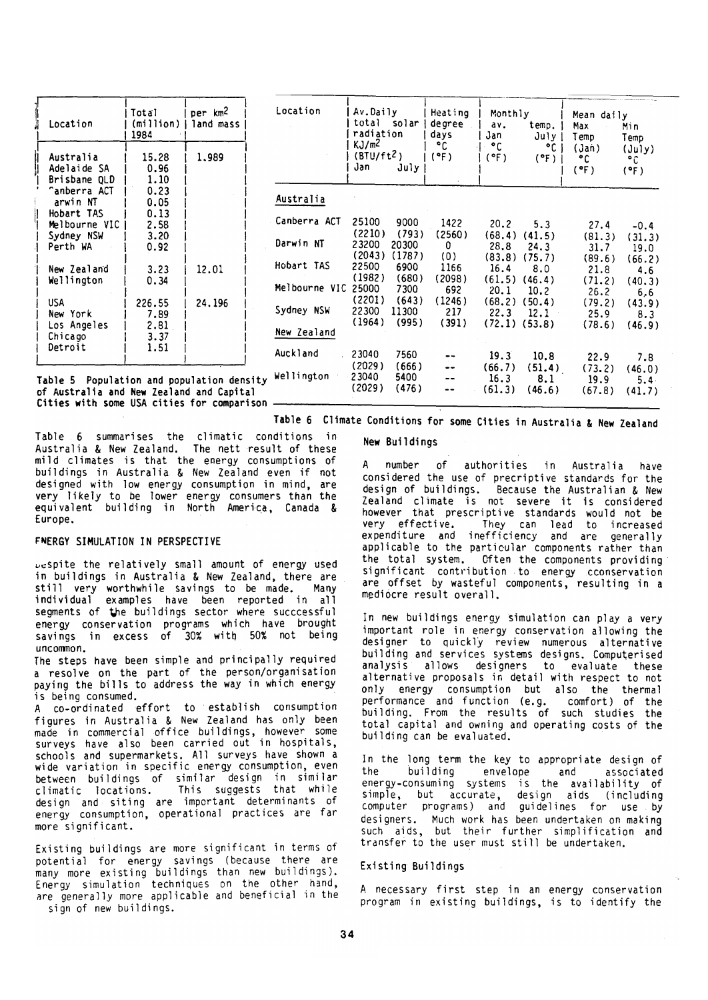| Location                                                                                                                             | Total Iperkm <sup>2</sup><br>1984                                     | (million)   land mass |
|--------------------------------------------------------------------------------------------------------------------------------------|-----------------------------------------------------------------------|-----------------------|
| Australia<br>Adelaide SA<br>Brisbane OLD<br><b>^anberra ACT</b><br>arwin NT<br>Hobart TAS<br>Melbourne VIC<br>Sydney NSW<br>Perth WA | 15.28<br>0.96<br>1.10<br>0.23<br>0.05<br>0.13<br>2.58<br>3.20<br>0.92 | 1.989                 |
| New Zealand<br>Wellington                                                                                                            | 3.23<br>0.34                                                          | 12.01                 |
| USA<br>New York<br>Los Angeles<br>Chicago<br>Detroit                                                                                 | 226.55<br>7.89<br>2.81<br>3.37<br>1.51                                | 24.196                |

| Location               | Av.Daily<br>total<br>radiation<br>KJ/m <sup>2</sup><br>(BTU/ft <sup>2</sup> )<br>Jan | solar I<br>July       | Heating<br>degree<br>days<br>۰c<br>(°F) | Monthly<br>av.<br>Jan<br>۰c<br>(°F) | temp.<br>$July$ 1<br>$^{\circ}$ C i<br>$(°F)$ | Mean daily<br>Max<br>Temp<br>(Jan)<br>۰c<br>(°F) | Min<br>Temp<br>$(\text{July})$<br>۰c<br>(°F) |
|------------------------|--------------------------------------------------------------------------------------|-----------------------|-----------------------------------------|-------------------------------------|-----------------------------------------------|--------------------------------------------------|----------------------------------------------|
| Australia              |                                                                                      |                       |                                         |                                     |                                               |                                                  |                                              |
| Canberra ACT           | 25100<br>(2210)                                                                      | 9000<br>(793)         | 1422<br>(2560)                          | 20.2                                | 5.3                                           | 27.4                                             | $-0.4$                                       |
| Darwin NT              | 23200<br>(2043)                                                                      | 20300<br>(1787)       | 0<br>(0)                                | (68, 4)<br>28.8<br>(83.8)           | (41.5)<br>24.3<br>(75.7)                      | (81.3)<br>31.7<br>(89.6)                         | (31.3)<br>19.0<br>(66.2)                     |
| Hobart TAS             | 22500<br>(1982)                                                                      | 6900<br>(680)         | 1166<br>(2098)                          | 16.4<br>(61.5)                      | 8.0<br>(46.4)                                 | 21.8<br>(71.2)                                   | 4.6<br>(40.3)                                |
| Melbourne VIC          | 25000<br>(2201)                                                                      | 7300<br>(643)         | 692<br>(1246)                           | 20.1<br>(68.2)                      | 10.2<br>(50.4)                                | 26.2<br>(79.2)                                   | 6.6<br>(43.9)                                |
| Sydney NSW             | 22300<br>(1964)                                                                      | 11300<br>(995)        | 217<br>(391)                            | 22.3                                | $12.1 -$<br>$(72.1)$ $(53.8)$                 | 25.9<br>(78.6)                                   | 8.3<br>(46.9)                                |
| New Zealand            |                                                                                      |                       |                                         |                                     |                                               |                                                  |                                              |
| Auckland<br>Wellington | 23040<br>(2029)<br>23040                                                             | 7560<br>(666)<br>5400 |                                         | 19.3<br>(66.7)<br>16.3              | 10.8<br>(51.4)<br>8.1                         | 22.9<br>(73.2)<br>19.9                           | 7.8<br>(46.0)<br>$5.4 -$                     |
|                        | (2029)                                                                               | (476)                 |                                         | (61.3)                              | (46.6)                                        | (67.8)                                           | (41.7)                                       |

Table 5 Population and population density of Australia and New Zealand and Capital Cities with some USA cities for comparison.

Table 6 Climate Conditions for some Cities in Australia & New Zealand

Table 6 summarises the climatic conditions in Australia & New Zealand. The nett result of these mild climates is that the energy consumptions of buildings in Australia & New Zealand even if not designed with low energy consumption in mind, are very likely to be lower energy consumers than the<br>equivalent building in North America, Canada & Furone.

# **FNERGY SIMULATION IN PERSPECTIVE**

Despite the relatively small amount of energy used in buildings in Australia & New Zealand, there are still very worthwhile savings to be made. Many<br>individual examples have been reported in all<br>segments of the buildings sector where successful energy conservation programs which have brought savings in excess of 30% with 50% not being  $uncommon.$ 

The steps have been simple and principally required a resolve on the part of the person/organisation paving the bills to address the way in which energy is being consumed.

A co-ordinated effort to establish consumption<br>figures in Australia & New Zealand has only been made in commercial office buildings, however some<br>surveys have also been carried out in hospitals, schools and supermarkets. All surveys have shown a wide variation in specific energy consumption, even between buildings of similar design in similar This suggests that while climatic locations. design and siting are important determinants of<br>energy consumption, operational practices are far more significant.

Existing buildings are more significant in terms of potential for energy savings (because there are many more existing buildings than new buildings). Energy simulation techniques on the other hand, are generally more applicable and beneficial in the

sign of new buildings.

# New Buildinas

number of authorities in Australia have A considered the use of precriptive standards for the design of buildings. Because the Australian & New Zealand climate is not severe it is considered<br>however that prescriptive standards would not be very effective. They can lead to increased<br>expenditure and inefficiency and are generally applicable to the particular components rather than the total system. Often the components providing significant contribution to energy cconservation are offset by wasteful components, resulting in a mediocre result overall.

In new buildings energy simulation can play a very important role in energy conservation allowing the designer to quickly review numerous alternative<br>building and services systems designs. Computerised analysis allows designers to evaluate these alternative proposals in detail with respect to not only energy consumption but also the thermal performance and function (e.g. comfort) of<br>building. From the results of such studies comfort) of the the total capital and owning and operating costs of the building can be evaluated.

In the long term the key to appropriate design of the building envelope and associated energy-consuming systems is the availability of simple, but accurate, design aids (including<br>computer programs) and guidelines for use by designers. Much work has been undertaken on making<br>such aids, but their further simplification and transfer to the user must still be undertaken.

Existing Buildings

A necessary first step in an energy conservation program in existing buildings, is to identify the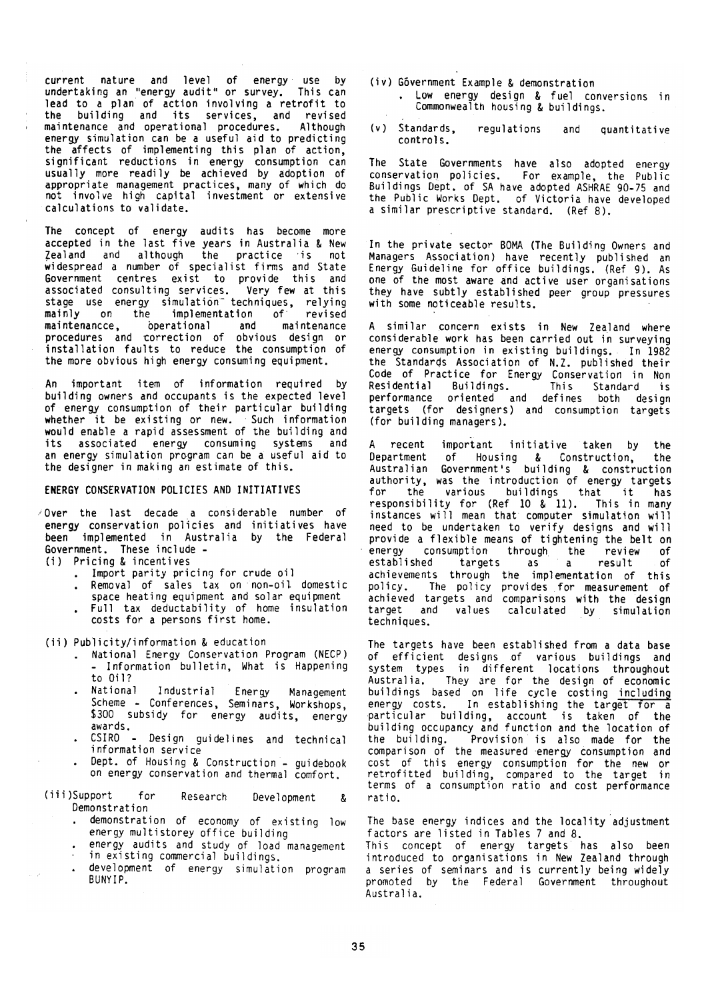current nature and level of energy use by<br>undertaking an "energy audit" or survey. This can lead to a plan of action involving a retrofit to<br>the building and its services, and revised<br>maintenance and operational procedures. Although energy simulation can be a useful aid to predicting the affects of implementing this plan of action, significant reductions in energy consumption can usually more readily be achieved by adoption of appropriate management practices, many of which do not involve high capital investment or extensive calculations to validate.

The concept of energy audits has become more accepted in the last five years in Australia & New Zealand and although the practice is  $not$ widespread a number of specialist firms and State<br>Government centres exist to provide this and associated consulting services. Very few at this<br>stage use energy simulation techniques, relying  $of$ implementation mainly on the revised maintenancce, operational maintenance and procedures and correction of obvious design or installation faults to reduce the consumption of the more obvious high energy consuming equipment.

An important item of information required by building owners and occupants is the expected level of energy consumption of their particular building whether it be existing or new. Such information<br>would enable a rapid assessment of the building and its associated energy consuming systems and an energy simulation program can be a useful aid to the designer in making an estimate of this.

## ENERGY CONSERVATION POLICIES AND INITIATIVES

/Over the last decade a considerable number of energy conservation policies and initiatives have been implemented in Australia by the Federal Government. These include -

(i) Pricing & incentives

- . Import parity pricing for crude oil
- . Removal of sales tax on non-oil domestic space heating equipment and solar equipment
- . Full tax deductability of home insulation costs for a persons first home.

(ii) Publicity/information & education

- . National Energy Conservation Program (NECP) - Information bulletin, What is Happening to 0il?
- Industrial Energy National Management Scheme - Conferences, Seminars, Workshops, \$300 subsidy for energy audits, energy awards.
- CSIRO Design guidelines and technical information service
- Dept. of Housing & Construction guidebook on energy conservation and thermal comfort.
- (iii)Support for Research Development  $\mathbf{k}$ Demonstration
	- demonstration of economy of existing low energy multistorey office building
	- energy audits and study of load management
	- in existing commercial buildings.
	- development of energy simulation program  $\Delta$ BUNYIP.
- (iv) Góvernment Example & demonstration . Low energy design & fuel conversions in Commonwealth housing & buildings.
- $(v)$  Standards. regulations and quantitative controls.

The State Governments have also adopted energy conservation policies. For example, the Public Buildings Dept. of SA have adopted ASHRAE 90-75 and<br>the Public Works Dept. of Victoria have developed a similar prescriptive standard. (Ref 8).

In the private sector BOMA (The Building Owners and Managers Association) have recently published an Energy Guideline for office buildings. (Ref 9). As one of the most aware and active user organisations they have subtly established peer group pressures with some noticeable results.

A similar concern exists in New Zealand where considerable work has been carried out in surveying energy consumption in existing buildings. In 1982 the Standards Association of N.Z. published their Code of Practice for Energy Conservation in Non Residential Buildings. Residential Buildings. This Standard is<br>performance oriented and defines both design targets (for designers) and consumption targets (for building managers).

important initiative taken by the A recent Department of Housing & Construction, the<br>Australian Government's building & construction<br>authority, was the introduction of energy targets various buildings that it has for the responsibility for (Ref 10 & 11). This in many instances will mean that computer simulation will need to be undertaken to verify designs and will provide a flexible means of tightening the belt on consumption through the review energy of established targets of as a  $\mathbf{a}$ result achievements through the implementation of this<br>policy. The policy provides for measurement of<br>achieved targets and comparisons with the design target and values calculated by simulation techniques.

The targets have been established from a data base of efficient designs of various buildings and system types in different locations throughout Australia. They are for the design of economic<br>buildings based on life cycle costing including<br>energy costs. In establishing the target for a<br>particular building, account is taken of the<br>building occupancy and function and the building. Provision is also made for the comparison of the measured energy consumption and cost of this energy consumption for the new or extrafitted building energy consumption for the new or retrofitted building, compared to the target in<br>terms of a consumption ratio and cost performance ratio.

The base energy indices and the locality adjustment factors are listed in Tables 7 and 8.

This concept of energy targets has also been introduced to organisations in New Zealand through a series of seminars and is currently being widely promoted by the Federal Government throughout Australia.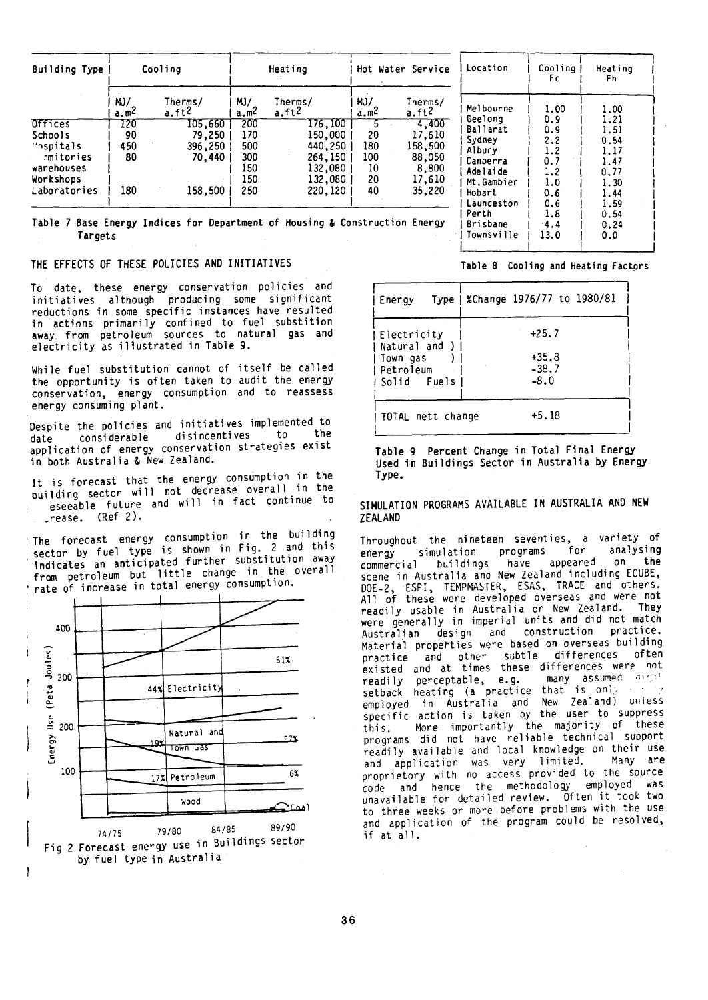| Building Type | Cooling               |                              | Heating    |                              |                         | Hot Water Service            | Location             | Cooli<br>Fc. |  |
|---------------|-----------------------|------------------------------|------------|------------------------------|-------------------------|------------------------------|----------------------|--------------|--|
|               | M<br>a.m <sup>Z</sup> | Therms/<br>a.ft <sup>2</sup> | MJ/<br>a.m | Therms/<br>a.ft <sup>2</sup> | MJ/<br>a.m <sup>2</sup> | Therms/<br>a.ft <sup>2</sup> | Melbourne<br>Geelong | 1.00         |  |
| Offices       | 120                   | 105,660                      | 200        | 176,100                      |                         | 4,400                        | Ballarat             | 0.9<br>0.9   |  |
| Schools       | 90                    | 79,250                       | 170        | 150,000                      | 20                      | 17,610                       | Sydney               | 2.2          |  |
| "nspitals"    | 450                   | 396,250                      | 500        | 440,250                      | 180                     | 158,500                      | Albury               | 1.2          |  |
| rmitories     | 80                    | 70.440                       | 300        | 264,150                      | 100                     | 88,050                       | Canberra             | 0.7          |  |
| warehouses    |                       |                              | 150        | 132,080                      | 10                      | 8,800                        | Adelaide             | 1.2          |  |
| Workshops     |                       |                              | 150        | 132,080                      | 20                      | 17,610                       | Mt.Gambier           | 1.0          |  |
| Laboratories  | 180                   | 158.500                      | 250        | 220,120                      | 40                      | 35,220                       | Hobart               | 0.6          |  |
|               |                       |                              |            |                              |                         |                              | Launceston<br>Perth  | 0.6<br>1.8   |  |

Table 7 Base Energy Indices for Department of Housing & Construction Energy Targets

## THE EFFECTS OF THESE POLICIES AND INITIATIVES

To date, these energy conservation policies and initiatives although producing some significant reductions in some specific instances have resulted in actions primarily confined to fuel substition<br>away from petroleum sources to natural gas and electricity as illustrated in Table 9.

While fuel substitution cannot of itself be called the opportunity is often taken to audit the energy conservation, energy consumption and to reassess<br>energy consuming plant.

Despite the policies and initiatives implemented to to the disincentives considerable date application of energy conservation strategies exist in both Australia & New Zealand.

It is forecast that the energy consumption in the building sector will not decrease overall in the eseeable future and will in fact continue to rease. (Ref 2).

The forecast energy consumption in the building sector by fuel type is shown in Fig. 2 and this indicates an anticipated further substitution away from petroleum but little change in the overall rate of increase in total energy consumption.



by fuel type in Australia

Table 8 Cooling and Heating Factors

 $-4.4$ 

 $13.0$ 

ina

Heating Fh.

> 1.00 1.21 1.51  $0.54$ 1.17  $1.47$  $0.77$ 1.30 1.44 1.59  $0.54$

> $0.24$

 $0.0$ 

| Energy                                                                | Type   %Change 1976/77 to 1980/81       |
|-----------------------------------------------------------------------|-----------------------------------------|
| !Electricity<br>Natural and )<br>Town gas<br>Petroleum<br>Solid Fuels | $+25.7$<br>$+35.8$<br>$-38.7$<br>$-8.0$ |
| TOTAL nett change                                                     | +5.18                                   |

Brisbane

| Townsville

Table 9 Percent Change in Total Final Energy Used in Buildings Sector in Australia by Energy Type.

SIMULATION PROGRAMS AVAILABLE IN AUSTRALIA AND NEW **ZEALAND** 

Throughout the nineteen seventies, a variety of programs for analysing simulation enerav  $0<sub>n</sub>$ appeared the buildings have commercial scene in Australia and New Zealand including ECUBE, DOE-2, ESPI, TEMPMASTER, ESAS, TRACE and others.<br>All of these were developed overseas and were not They readily usable in Australia or New Zealand. were generally in imperial units and did not match construction practice. design and Australian Material properties were based on overseas building differences often and other subtle practice existed and at times these differences were not many assumed of got readily perceptable, e.g. setback heating (a practice that is only and employed in Australia and New Zealand) unless specific action is taken by the user to suppress More importantly the majority of these this. programs did not have reliable technical support readily available and local knowledge on their use and application was very limited. Many are proprietory with no access provided to the source code and hence the methodology employed was unavailable for detailed review. Often it took two to three weeks or more before problems with the use and application of the program could be resolved, if at all.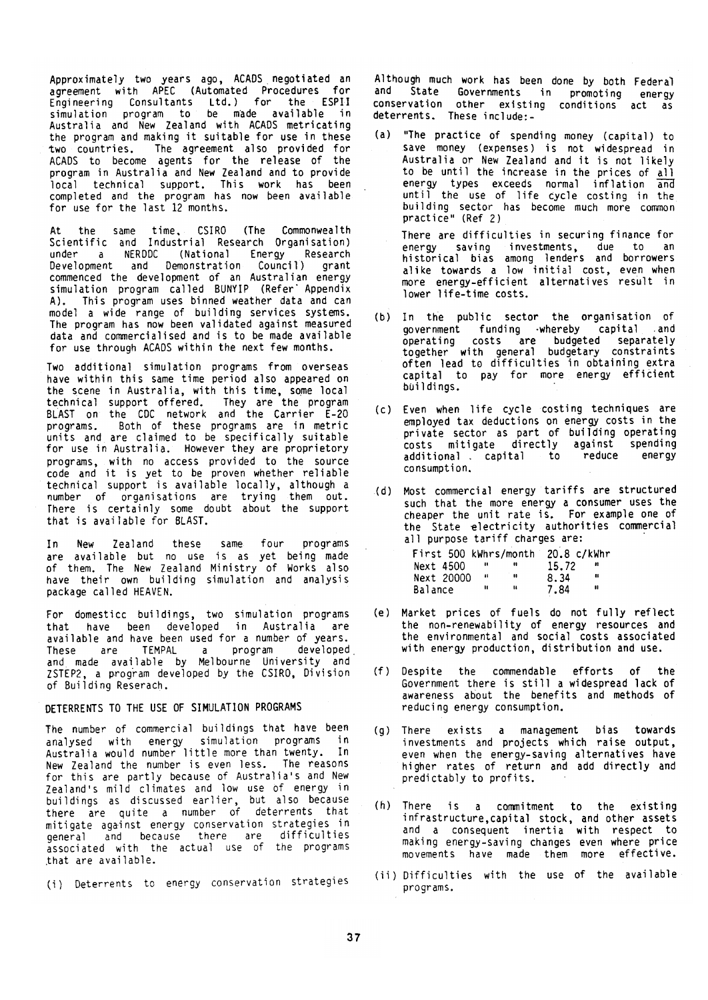Approximately two years ago, ACADS negotiated an agreement with APEC (Automated Procedures for Engineering Consultants Ltd.) for the ESPII<br>simulation program to be made available in<br>Australia and New Zealand with ACADS metricating the program and making it suitable for use in these two countries. The agreement also provided for ACADS to become agents for the release of the<br>program in Australia and New Zealand and to provide local technical support. This work has been completed and the program has now been available for use for the last 12 months.

At the same time, CSIRO (The Commonwealth<br>Scientific and Industrial Research Organisation) under a NERDDC (National Energy Research Development and Demonstration Council) grant commenced the development of an Australian energy simulation program called BUNYIP (Refer Appendix A). This program uses binned weather data and can<br>model a wide range of building services systems. The program has now been validated against measured data and commercialised and is to be made available for use through ACADS within the next few months.

Two additional simulation programs from overseas have within this same time period also appeared on the scene in Australia, with this time, some local technical support offered. They are the program<br>BLAST on the CDC network and the Carrier E-20<br>programs. Both of these programs are in metric units and are claimed to be specifically suitable for use in Australia. However they are proprietory programs, with no access provided to the source<br>code and it is yet to be proven whether reliable<br>technical support is available locally, although a number of organisations are trying them out.<br>There is certainly some doubt about the support that is available for BLAST.

In. **Now** Zealand these same four programs are available but no use is as yet being made of them. The New Zealand Ministry of Works also have their own building simulation and analysis package called HEAVEN.

For domesticc buildings, two simulation programs<br>that have been developed in Australia are available and have been used for a number of years. These are TEMPAL a program developed<br>and made available by Melbourne University and<br>ZSTEP2, a program developed by the CSIRO, Division<br>of Building Reserach.

# DETERRENTS TO THE USE OF SIMULATION PROGRAMS

The number of commercial buildings that have been analysed with energy simulation programs in<br>Australia would number little more than twenty. In New Zealand the number is even less. The reasons for this are partly because of Australia's and New Zealand's mild climates and low use of energy in buildings as discussed earlier, but also because<br>there are quite a number of deterrents that mitigate against energy conservation strategies in difficulties general and because there are associated with the actual use of the programs that are available.

(i) Deterrents to energy conservation strategies

Although much work has been done by both Federal and State Governments in promoting energy conservation other existing conditions act as deterrents. These include:-

(a) "The practice of spending money (capital) to save money (expenses) is not widespread in Australia or New Zealand and it is not likely<br>to be until the increase in the prices of all energy types exceeds normal inflation and until the use of life cycle costing in the building sector has become much more common<br>practice" (Ref 2)

There are difficulties in securing finance for energy saving investments, due to an<br>historical bias among lenders and borrowers alike towards a low initial cost, even when<br>more energy-efficient alternatives result in lower life-time costs.

- (b) In the public sector the organisation of government funding whereby capital and operating costs are budgeted separately<br>together with general budgetary constraints<br>often lead to difficulties in obtaining extra capital to pay for more energy efficient buildings.
- (c) Even when life cycle costing techniques are employed tax deductions on energy costs in the<br>private sector as part of building operating<br>costs mitigate directly against spending additional capital reduce ∴ to enerov consumption.
- (d) Most commercial energy tariffs are structured such that the more energy a consumer uses the cheaper the unit rate is. For example one of the State electricity authorities commercial<br>all purpose tariff charges are:

| First 500 kWhrs/month |      |   | 20.8 c/kWhr |    |
|-----------------------|------|---|-------------|----|
| Next 4500             |      |   | 15.72       | ., |
| Next 20000            | - 41 |   | 8.34        | 8  |
| Balance               | 11   | u | 7.84        | н  |

- (e) Market prices of fuels do not fully reflect the non-renewability of energy resources and the environmental and social costs associated with energy production, distribution and use.
- (f) Despite the commendable efforts of the Government there is still a widespread lack of awareness about the benefits and methods of reducing energy consumption.
- (g) There exists a management bias towards investments and projects which raise output, even when the energy-saving alternatives have<br>higher rates of return and add directly and predictably to profits.
- (h) There is a commitment to the existing infrastructure, capital stock, and other assets and a consequent inertia with respect to making energy-saving changes even where price movements have made them more effective.
- (ii) Difficulties with the use of the available programs.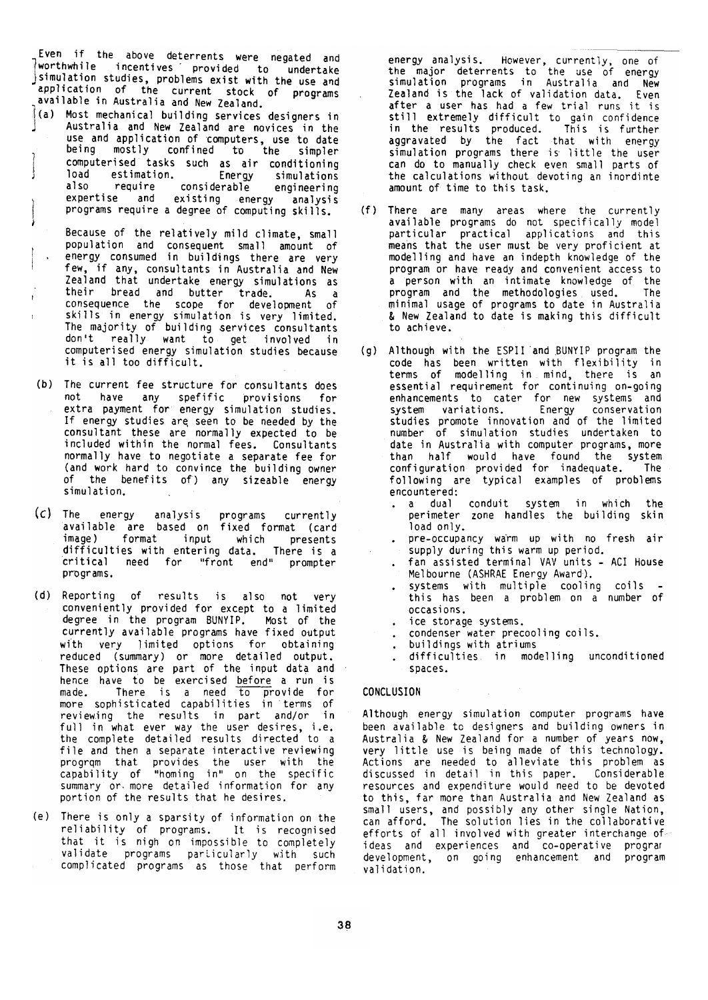Even if the above deterrents were negated and worthwhile incentives provided to undertake simulation studies, problems exist with the use and application of the current stock of programs available in Australia and New Zealand.

- $\frac{3}{3}$ (a) Most mechanical building services designers in Australia and New Zealand are novices in the use and application of computers, use to date<br>being mostly confined to the simpler computerised tasks such as air conditioning load estimation. Energy simulations also require considerable engineering expertise and existing energy analysis<br>programs require a degree of computing skills.
	- Because of the relatively mild climate, small population and consequent small amount of energy consumed in buildings there are very few, if any, consultants in Australia and New<br>Zealand that undertake energy simulations as Their bread and butter trade. As a<br>consequence the scope for development of<br>skills in energy simulation is very limited. The majority of building services consultants<br>don't really want to get involved in computerised energy simulation studies because it is all too difficult.

 $\mathbf{r}$ 

- (b) The current fee structure for consultants does not have any spefific provisions for extra payment for energy simulation studies. If energy studies are seen to be needed by the consultant these are normally expected to be included within the normal fees. Consultants normally have to negotiate a separate fee for (and work hard to convince the building owner of the benefits of) any sizeable energy simulation.
- (c) The energy analysis programs currently<br>available are based on fixed format (card<br>image) format input which presents difficulties with entering data. There is a critical need for "front end" prompter programs.
- (d) Reporting of results is also not very conveniently provided for except to a limited degree in the program BUNYIP. Most of the currently available programs have fixed output with very limited options for obtaining<br>reduced (summary) or more detailed output. These options are part of the input data and hence have to be exercised before a run is<br>made. There is a need to provide for<br>more sophisticated capabilities in terms of reviewing the results in part and/or in full in what ever way the user desires, i.e.<br>the complete detailed results directed to a file and then a separate interactive reviewing program that provides the user with the<br>capability of "homing in" on the specific summary or more detailed information for any portion of the results that he desires.
- (e) There is only a sparsity of information on the reliability of programs. It is recognised that it is nigh on impossible to completely validate programs particularly with such<br>complicated programs as those that perform

energy analysis. However, currently, one of<br>the major deterrents to the use of energy<br>simulation programs in Australia and New Zealand is the lack of validation data. Even after a user has had a few trial runs it is still extremely difficult to gain confidence<br>in the results produced. This is further in the results produced. This is further<br>aggravated by the fact that with energy<br>simulation programs there is little the user can do to manually check even small parts of the calculations without devoting an inordinte amount of time to this task.

- (f) There are many areas where the currently available programs do not specifically model particular practical applications and this<br>means that the user must be very proficient at modelling and have an indepth knowledge of the program or have ready and convenient access to a person with an intimate knowledge of the program and the methodologies used. The minimal usage of programs to date in Australia & New Zealand to date is making this difficult to achieve.
- (g) Although with the ESPII and BUNYIP program the code has been written with flexibility in<br>terms of modelling in mind, there is an<br>essential requirement for continuing on-going essential requirement for continuing on-going<br>enhancements to cater for new systems and<br>system variations. Energy conservation<br>studies promote innovation and of the limited number of simulation studies undertaken to date in Australia with computer programs, more than half would have found the system configuration provided for inadequate. The<br>following are typical examples of problems encountered:
	- . a dual conduit system in which the perimeter zone handles the building skin load only.
	- . pre-occupancy warm up with no fresh air supply during this warm up period.
	- fan assisted terminal VAV units ACI House Melbourne (ASHRAE Energy Award).
	- systems with multiple cooling coils this has been a problem on a number of occasions.
	- ice storage systems.
	- condenser water precooling coils.  $\Delta$  .
	- buildings with atriums  $\ddot{\phantom{0}}$
	- difficulties. in modelling unconditioned spaces.

## **CONCLUSION**

Although energy simulation computer programs have been available to designers and building owners in Australia & New Zealand for a number of years now, very little use is being made of this technology. Actions are needed to alleviate this problem as<br>discussed in detail in this paper. Considerable resources and expenditure would need to be devoted to this, far more than Australia and New Zealand as small users, and possibly any other single Nation, can afford. The solution lies in the collaborative efforts of all involved with greater interchange of ideas and experiences and co-operative program<br>development, on going enhancement and program validation.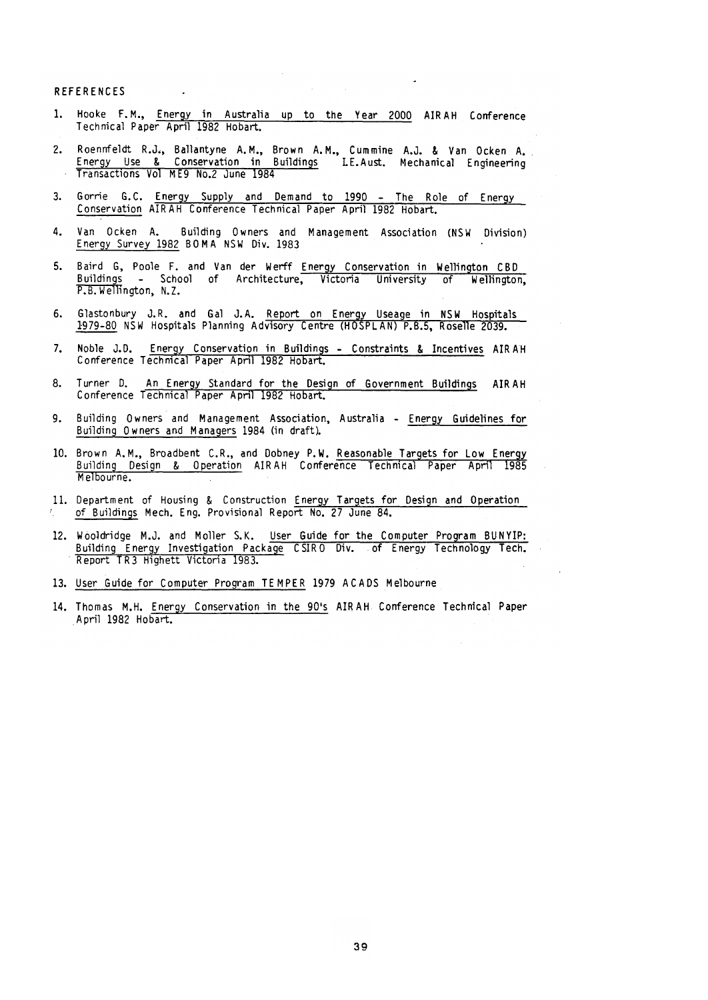# **REFERENCES**

- Hooke F.M., Energy in Australia up to the Year 2000 AIRAH Conference<br>Technical Paper April 1982 Hobart.  $1 -$
- Roennfeldt R.J., Ballantyne A.M., Brown A.M., Cummine A.J. & Van Ocken A.<br>Energy Use & Conservation in Buildings LE.Aust. Mechanical Engineering  $\overline{2}$ Transactions Vol ME9 No.2 June 1984
- $3.$ Gorrie G.C. Energy Supply and Demand to 1990 - The Role of Energy Conservation AIRAH Conference Technical Paper April 1982 Hobart.
- $\Delta$ Van Ocken A. Building Owners and Management Association (NSW Division) Energy Survey 1982 BOMA NSW Div. 1983
- Baird G, Poole F. and Van der Werff Energy Conservation in Wellington CBD<br>Buildings School of Architecture, Victoria University of Wellington, 5. P.B. Wellington, N.Z.
- Glastonbury J.R. and Gal J.A. Report on Energy Useage in NSW Hospitals<br>1979-80 NSW Hospitals Planning Advisory Centre (HOSPLAN) P.B.5, Roselle 2039.  $6.$
- Noble J.D. Energy Conservation in Buildings Constraints & Incentives AIRAH  $7.$ Conference Technical Paper April 1982 Hobart.
- Turner D. An Energy Standard for the Design of Government Buildings AIRAH Conference Technical Paper April 1982 Hobart. 8.
- Building Owners and Management Association, Australia Energy Guidelines for 9. Building Owners and Managers 1984 (in draft).
- 10. Brown A.M., Broadbent C.R., and Dobney P.W. Reasonable Targets for Low Energy Building Design & Operation AIRAH Conference Technical Paper April 1985 Melbourne.
- 11. Department of Housing & Construction Energy Targets for Design and Operation<br>6 of Buildings Mech. Eng. Provisional Report No. 27 June 84.
- 12. Wooldridge M.J. and Moller S.K. User Guide for the Computer Program BUNYIP: Building Energy Investigation Package CSIRO Div. of Energy Technology Tech.<br>Report TR3 Highett Victoria 1983.
- 13. User Guide for Computer Program TEMPER 1979 ACADS Melbourne
- 14. Thomas M.H. Energy Conservation in the 90's AIRAH Conference Technical Paper April 1982 Hobart.